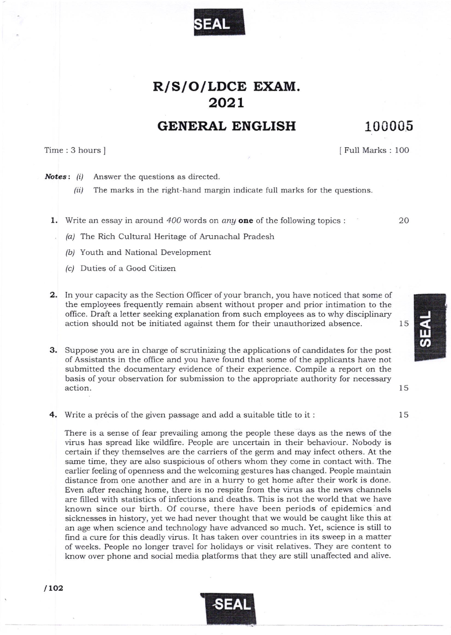

## R/S/O/LDCE EXAM. 202r

## GENERAL ENGLISH 100005

 $/102$ 

Time: 3 hours ] IFull Marks : 100

20

15

15

Notes: (i) Answer the questions as directed.

 $(ii)$  The marks in the right-hand margin indicate full marks for the questions.

1. Write an essay in around  $400$  words on any one of the following topics :

- $(a)$  The Rich Cultural Heritage of Arunachal Pradesh
- (b) Youth and National Development
- (c/ Duties of a Good Citizen
- 2. In your capacity as the Section Officer of your branch, you have noticed that some of the employees frequently remain absent without proper and prior intimation to the office. Draft a letter seeking explanation from such employees as to why disciplinary action should not be initiated against them for their unauthorized absence. 15

3. Suppose you are in charge of scrutinizing the applications of candidates for the post of Assistants in the office and you have found that some of the applicants have not submitted the documentary evidence of their experience. Compile a report on the basis of your observation for submission to the appropriate authority for necessary action.

4. Write a précis of the given passage and add a suitable title to it:

There is a sense of fear prevailing among the people these days as the news of the virus has spread like wildfire. People are uncertain in their behaviour. Nobody is certain if they themselves are the carriers of the germ and may infect others. At the same time, they are also suspicious of others whom they come in contact with. The earlier feeling of openness and the welcoming gestures has changed. People maintain distance from one another and are in a hurry to get home after their work is done. Even after reaching home, there is no respite from the virus as the news channels are filled with statistics of infections and deaths. This is not the world that we have known since our birth. Of course, there have been periods of epidemics and sicknesses in history, yet we had never thought that we would be caught like this at an age when science and technolory have advanced so much. Yet, science is still to find a cure for this deadly virus. It has taken over countries in its sweep in a matter of weeks. People no longer travel for holidays or visit relalives. They are content to know over phone and social media platforms that they are still unaffected and alive.



J  $\frac{11}{2}$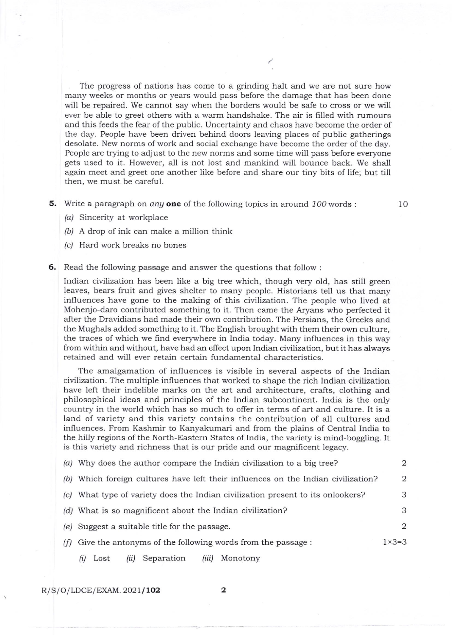The progress of nations has come to a grinding halt and we are not sure how many weeks or months or years would pass before the damage that has been done will be repaired. We cannot say when the borders would be safe to cross or we will ever be able to greet others with a warm handshake. The air is filled with rumours and this feeds the fear of the public. Uncertainty and chaos have become the order of the day. People have been driven behind doors leaving places of public gatherings desolate. New norms of work and social exchange have become the order of the day. People are trying to adjust to the new norms and some time will pass before everyone gets used to it. However, all is not lost and mankind will bounce back. We shall again meet and greet one another like before and share our tiny bits of life; but till then, we must be careful.

5. Write a paragraph on *any* one of the following topics in around  $100$  words :

10

- /a/ Sincerity at workplace
- $(b)$  A drop of ink can make a million think
- (c/ Hard work breaks no bones
- **6.** Read the following passage and answer the questions that follow :

Indian civilization has been like a big tree which, though very old, has still green leaves, bears fruit and gives shelter to many people. Historians tell us that many influences have gone to the making of this civilization. The people who lived at Mohenjo-daro contributed something to it. Then came the Aryans who perfected it after the Dravidians had made their own contribution. The Persians, the Greeks and the Mughals added something to it. The English brought with them their own culture, the traces of which we find eveqrwhere in India today. Many influences in this way from within and without, have had an effect upon Indian civiiization, but it has always retained and will ever retain certain fundamental characteristics.

The amalgamation of influences is visible in several aspects of the Indian civilization. The multiple influences that worked to shape the rich Indian civilization have left their indelible marks on the art and architecture, crafts, clothing and philosophical ideas and principles of the Indian subcontinent. India is the only country in the world which has so much to offer in terms of art and culture. It is a land of variety and this variety contains the contribution of all cultures and influences. From Kashmir to Kanyakumari and from the plains of Central India to the hilly regions of the North-Eastern States of India, the variety is mind-boggling. It is this variety and richness that is our pride and our magnificent legacy.

| $(a)$ Why does the author compare the Indian civilization to a big tree?          | $\mathfrak{D}$   |
|-----------------------------------------------------------------------------------|------------------|
| (b) Which foreign cultures have left their influences on the Indian civilization? | $\overline{2}$   |
| (c) What type of variety does the Indian civilization present to its onlookers?   | 3                |
| (d) What is so magnificent about the Indian civilization?                         | 3                |
| (e) Suggest a suitable title for the passage.                                     | 2                |
| $(f)$ Give the antonyms of the following words from the passage :                 | $1 \times 3 = 3$ |
| Separation<br>Monotony<br>Lost<br>(iii)<br>(i)<br>(ii)                            |                  |

 $R/S/O/LDCE/EXAMPLEXAM.2021/102$  2